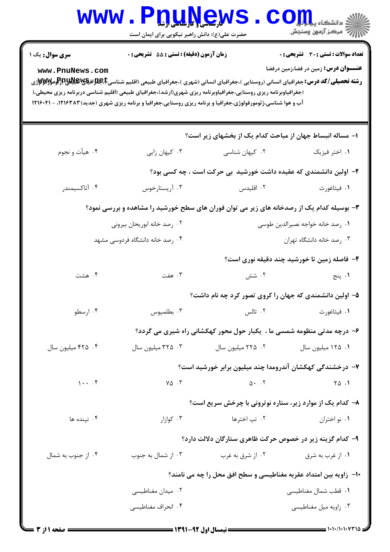| <b>WWW . F</b>                                                                                                                                                                                                                                                                                    | <b>LLUDGEW</b><br>حضرت علی(ع): دانش راهبر نیکویی برای ایمان است   |                                  | $\mathbf{C}\mathbf{O}$ ill $\mathbf{L}$ all $\mathbf{L}$ all $\mathbf{L}$<br>رِ آھرڪز آزمون وسنڊش |  |  |  |
|---------------------------------------------------------------------------------------------------------------------------------------------------------------------------------------------------------------------------------------------------------------------------------------------------|-------------------------------------------------------------------|----------------------------------|---------------------------------------------------------------------------------------------------|--|--|--|
| <b>سری سوال :</b> یک ۱                                                                                                                                                                                                                                                                            | زمان آزمون (دقیقه) : تستی : 55 آتشریحی : 0                        |                                  | <b>تعداد سوالات : تستی : 30 ٪ تشریحی : 0</b>                                                      |  |  |  |
| <b>عنـــوان درس:</b> زمین در فضا،زمین درفضا<br>www.PnuNews.com<br>(جغرافیاوبرنامه ریزی روستایی،جغرافیاوبرنامه ریزی شهری(ارشد)،جغرافیای طبیعی (اقلیم شناسی دربرنامه ریزی محیطی،(<br>آب و هوا شناسی،ژئومورفولوژی،جغرافیا و برنامه ریزی روستایی،جغرافیا و برنامه ریزی شهری (جدید) ۱۲۱۶۳۸۳، - ۱۲۱۶۰۴۱ |                                                                   |                                  |                                                                                                   |  |  |  |
|                                                                                                                                                                                                                                                                                                   | ۱– مساله انبساط جهان از مباحث کدام یک از بخشهای زیر است؟          |                                  |                                                                                                   |  |  |  |
| ۰۴ هيأت و نجوم                                                                                                                                                                                                                                                                                    | ۰۳ کیهان زایی                                                     | ۰۲ کیهان شناس <i>ی</i>           | ۰۱ اختر فیزیک                                                                                     |  |  |  |
|                                                                                                                                                                                                                                                                                                   |                                                                   |                                  | ۲- اولین دانشمندی که عقیده داشت خورشید بی حرکت است ، چه کسی بود؟                                  |  |  |  |
| ۰۴ آناكسيمندر                                                                                                                                                                                                                                                                                     | ۰۳ آریستارخوس                                                     | ۰۲ اقلیدس                        | ٠١ فيثاغورث                                                                                       |  |  |  |
| ۳- بوسیله کدام یک از رصدخانه های زیر می توان فوران های سطح خورشید را مشاهده و بررسی نمود؟                                                                                                                                                                                                         |                                                                   |                                  |                                                                                                   |  |  |  |
| ۰۲ رصد خانه ابوريحان بيروني                                                                                                                                                                                                                                                                       |                                                                   | ۰۱ رصد خانه خواجه نصیرالدین طوسی |                                                                                                   |  |  |  |
| ۰۴ رصد خانه دانشگاه فردوسی مشهد                                                                                                                                                                                                                                                                   |                                                                   |                                  | ۰۳ رصد خانه دانشگاه تهران                                                                         |  |  |  |
|                                                                                                                                                                                                                                                                                                   |                                                                   |                                  | ۴- فاصله زمین تا خورشید چند دقیقه نوری است؟                                                       |  |  |  |
| ۰۴ هشت                                                                                                                                                                                                                                                                                            | ۰۳ هفت                                                            | ۰۲ شش                            | ۰۱ پنج                                                                                            |  |  |  |
|                                                                                                                                                                                                                                                                                                   |                                                                   |                                  | ۵– اولین دانشمندی که جهان را کروی تصور کرد چه نام داشت؟                                           |  |  |  |
| ۰۴ ارسطو                                                                                                                                                                                                                                                                                          | ۰۳ بطلميوس                                                        | ۰۲ تالس                          | ٠١ فيثاغورث                                                                                       |  |  |  |
|                                                                                                                                                                                                                                                                                                   |                                                                   |                                  | ۶- درچه مدتی منظومه شمسی ما ، یکبار حول محور کهکشانی راه شیری می گردد؟                            |  |  |  |
| ۰۴ میلیون سال                                                                                                                                                                                                                                                                                     | ۰۳ میلیون سال                                                     | ٠٢ ٢٢٥ ميليون سال                | ۰۱ ۱۲۵ میلیون سال                                                                                 |  |  |  |
|                                                                                                                                                                                                                                                                                                   |                                                                   |                                  | ۷– درخشندگی کهکشان آندرومدا چند میلیون برابر خورشید است؟                                          |  |  |  |
| $1 \cdot \cdot \cdot$ .                                                                                                                                                                                                                                                                           | $Y \Delta$ .                                                      | $\Delta$ . $\sqrt{ }$            | $\begin{bmatrix} 1 & 0 \\ 0 & 1 \end{bmatrix}$                                                    |  |  |  |
|                                                                                                                                                                                                                                                                                                   |                                                                   |                                  | ۸- کدام یک از موارد زیر، ستاره نوترونی با چرخش سریع است؟                                          |  |  |  |
| ۰۴ تینده ها                                                                                                                                                                                                                                                                                       | ۰۳ کوازار                                                         | ۰۲ تپ اخترها                     | ٠١ نو اختران                                                                                      |  |  |  |
|                                                                                                                                                                                                                                                                                                   |                                                                   |                                  | ۹- کدام گزینه زیر در خصوص حرکت ظاهری ستارگان دلالت دارد؟                                          |  |  |  |
| ۰۴ از جنوب به شمال                                                                                                                                                                                                                                                                                | ۰۳ از شمال به جنوب                                                | ۰۲ از شرق به غرب                 | ۰۱ از غرب به شرق                                                                                  |  |  |  |
|                                                                                                                                                                                                                                                                                                   | ∙ا− زاویه بین امتداد عقربه مغناطیسی و سطح افق محل را چه می نامند؟ |                                  |                                                                                                   |  |  |  |
|                                                                                                                                                                                                                                                                                                   | ۰۲ میدان مغناطیسی                                                 |                                  | ٠١ قطب شمال مغناطيسي                                                                              |  |  |  |
|                                                                                                                                                                                                                                                                                                   | ۰۴ انحراف مغناطیسی                                                |                                  | ۰۳ زاویه میل مغناطیسی                                                                             |  |  |  |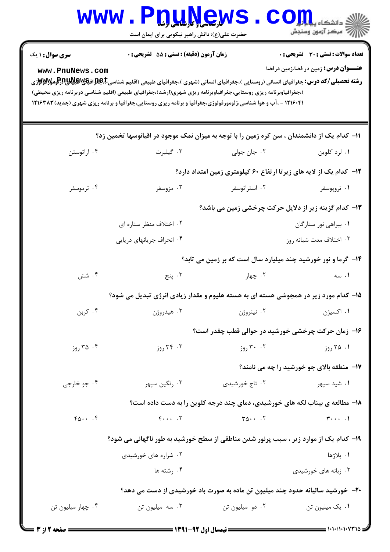| <b>WWW . L</b>                                                                       | <b><u>QUUGW</u></b><br>حضرت علی(ع): دانش راهبر نیکویی برای ایمان است                                                                                                                                                                                                                                                                                                              |                                            | $CO_{\frac{1}{2}}$ انشڪاه يا<br>أأأ مركز آزمون وسنجش                                         |  |  |
|--------------------------------------------------------------------------------------|-----------------------------------------------------------------------------------------------------------------------------------------------------------------------------------------------------------------------------------------------------------------------------------------------------------------------------------------------------------------------------------|--------------------------------------------|----------------------------------------------------------------------------------------------|--|--|
| <b>سری سوال :</b> ۱ یک<br>www.PnuNews.com                                            | زمان آزمون (دقیقه) : تستی : 55 تشریحی : 0                                                                                                                                                                                                                                                                                                                                         |                                            | <b>تعداد سوالات : تستي : 30 ٪ تشريحي : 0</b><br><b>عنــــوان درس:</b> زمین در فضا،زمین درفضا |  |  |
|                                                                                      | <b>رشته تحصیلی/کد درس:</b> جغرافیای انسانی (روستایی )،جغرافیای انسانی (شهری )،جغرافیای طبیعی (اقلیم شناسی <b>E،طبلایاتیاش از اومولایو للای</b><br>)،جغرافیاوبرنامه ریزی روستایی،جغرافیاوبرنامه ریزی شهری(ارشد)،جغرافیای طبیعی (اقلیم شناسی دربرنامه ریزی محیطی)<br>۱۲۱۶۰۴۱ - ،آب و هوا شناسی،ژئومورفولوژی،جغرافیا و برنامه ریزی روستایی،جغرافیا و برنامه ریزی شهری (جدید) ۱۲۱۶۳۸۳ |                                            |                                                                                              |  |  |
|                                                                                      | 1۱– کدام یک از دانشمندان ، سن کره زمین را با توجه به میزان نمک موجود در اقیانوسها تخمین زد؟                                                                                                                                                                                                                                                                                       |                                            |                                                                                              |  |  |
| ۰۴ اراتوستن                                                                          | ۰۳ گیلبرت                                                                                                                                                                                                                                                                                                                                                                         | ۰۲ جان جولی                                | ۰۱ لرد کلوین                                                                                 |  |  |
|                                                                                      |                                                                                                                                                                                                                                                                                                                                                                                   |                                            | <b>۱۲</b> - کدام یک از لایه های زیرتا ارتفاع ۶۰ کیلومتری زمین امتداد دارد؟                   |  |  |
| ۰۴ ترموسفر                                                                           | ۰۳ مزوسفر                                                                                                                                                                                                                                                                                                                                                                         | ۰۲ استراتوسفر                              | ۰۱ تروپوسفر                                                                                  |  |  |
|                                                                                      |                                                                                                                                                                                                                                                                                                                                                                                   |                                            | ۱۳- کدام گزینه زیر از دلایل حرکت چرخشی زمین می باشد؟                                         |  |  |
|                                                                                      | ۰۲ اختلاف منظر ستاره ای                                                                                                                                                                                                                                                                                                                                                           |                                            | ۰۱ بیراهی نور ستارگان                                                                        |  |  |
|                                                                                      | ۰۴ انحراف جریانهای دریایی                                                                                                                                                                                                                                                                                                                                                         |                                            | ۰۳ اختلاف مدت شبانه روز                                                                      |  |  |
|                                                                                      |                                                                                                                                                                                                                                                                                                                                                                                   |                                            | ۱۴- گرما و نور خورشید چند میلیارد سال است که بر زمین می تابد؟                                |  |  |
| ۰۴ شش                                                                                | ۰۳ پنج                                                                                                                                                                                                                                                                                                                                                                            | ۰۲ چهار                                    | ۰۱ سه                                                                                        |  |  |
|                                                                                      | ۱۵- کدام مورد زیر در همجوشی هسته ای به هسته هلیوم و مقدار زیادی انرژی تبدیل می شود؟                                                                                                                                                                                                                                                                                               |                                            |                                                                                              |  |  |
| ۰۴ کربن                                                                              | ۰۳ هيدروژن                                                                                                                                                                                                                                                                                                                                                                        | ۰۲ نیتروژن                                 | ۰۱ اکسیژن                                                                                    |  |  |
|                                                                                      |                                                                                                                                                                                                                                                                                                                                                                                   |                                            | ۱۶– زمان حرکت چرخشی خورشید در حوالی قطب چقدر است؟                                            |  |  |
| ۰۴ روز                                                                               | ۰۳ روز                                                                                                                                                                                                                                                                                                                                                                            | ۰۲ روز                                     | ۰۱ ۲۵ روز                                                                                    |  |  |
|                                                                                      |                                                                                                                                                                                                                                                                                                                                                                                   |                                            | 17- منطقه بالای جو خورشید را چه می نامند؟                                                    |  |  |
| ۰۴ جو خارجي                                                                          | ۰۳ رنگين سپهر                                                                                                                                                                                                                                                                                                                                                                     | ۰۲ تاج خورشیدی                             | ۰۱ شید سپهر                                                                                  |  |  |
|                                                                                      |                                                                                                                                                                                                                                                                                                                                                                                   |                                            | ۱۸- مطالعه ی بیناب لکه های خورشیدی، دمای چند درجه کلوین را به دست داده است؟                  |  |  |
| $f_0 \cdots f$                                                                       | $F \cdots$ $\uparrow$                                                                                                                                                                                                                                                                                                                                                             | $\Gamma \Delta \cdot \cdot \cdot$ $\Gamma$ | $\uparrow \cdots$ .                                                                          |  |  |
| ۱۹– کدام یک از موارد زیر ، سبب پرنور شدن مناطقی از سطح خورشید به طور ناگهانی می شود؟ |                                                                                                                                                                                                                                                                                                                                                                                   |                                            |                                                                                              |  |  |
|                                                                                      | ۰۲ شراره های خورشیدی                                                                                                                                                                                                                                                                                                                                                              |                                            | ١. پلاژها                                                                                    |  |  |
|                                                                                      | ۰۴ , شته ها                                                                                                                                                                                                                                                                                                                                                                       |                                            | ۰۳ زبانه های خورشیدی                                                                         |  |  |
| ۲۰– خورشید سالیانه حدود چند میلیون تن ماده به صورت باد خورشیدی از دست می دهد؟        |                                                                                                                                                                                                                                                                                                                                                                                   |                                            |                                                                                              |  |  |
| ۰۴ چهار میلیون تن                                                                    | ۰۳ سه میلیون تن                                                                                                                                                                                                                                                                                                                                                                   | ۰۲ دو میلیون تن                            | ٠١. يک ميليون تن                                                                             |  |  |
|                                                                                      |                                                                                                                                                                                                                                                                                                                                                                                   |                                            |                                                                                              |  |  |